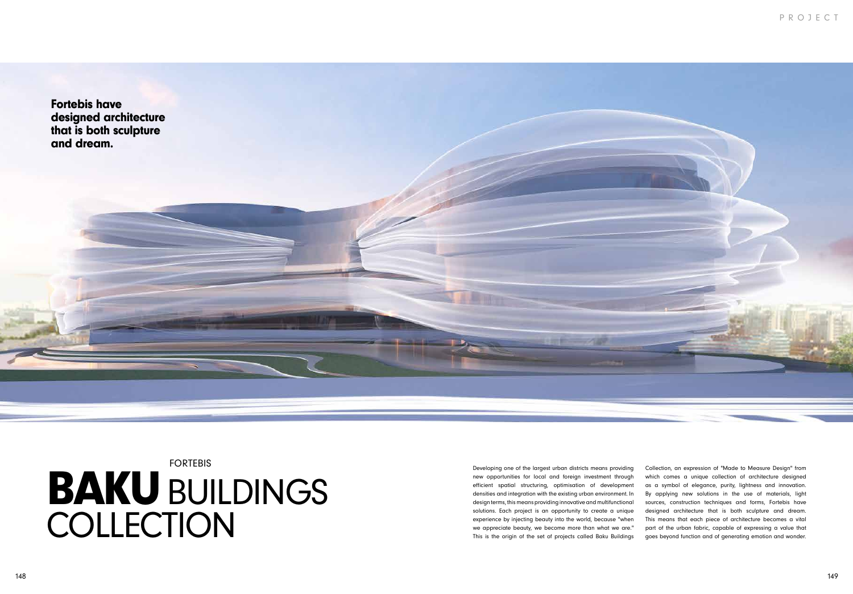## PROJECT



Developing one of the largest urban districts means providing new opportunities for local and foreign investment through efficient spatial structuring, optimisation of development densities and integration with the existing urban environment. In design terms, this means providing innovative and multifunctional solutions. Each project is an opportunity to create a unique experience by injecting beauty into the world, because "when we appreciate beauty, we become more than what we are." This is the origin of the set of projects called Baku Buildings

**BAKU BUILDINGS** COLLECTION FORTEBIS

Collection, an expression of "Made to Measure Design" from which comes a unique collection of architecture designed as a symbol of elegance, purity, lightness and innovation. By applying new solutions in the use of materials, light sources, construction techniques and forms, Fortebis have designed architecture that is both sculpture and dream. This means that each piece of architecture becomes a vital part of the urban fabric, capable of expressing a value that goes beyond function and of generating emotion and wonder.

Fortebis have designed architecture that is both sculpture and dream.